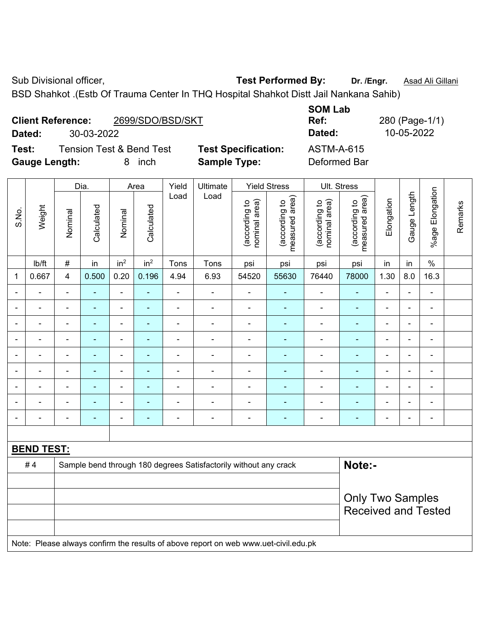Sub Divisional officer, **Test Performed By:** Dr. /Engr. **Asad Ali Gillani** Associated By: Dr. /Engr. **Asad Ali Gillani** 

**SOM Lab** 

BSD Shahkot .(Estb Of Trauma Center In THQ Hospital Shahkot Distt Jail Nankana Sahib)

|       | <b>Client Reference:</b> |              |            |                 |                                     | 2699/SDO/BSD/SKT    |                            | Ref:                           |                                    | 280 (Page-1/1)                 |                                    |            |                 |                       |
|-------|--------------------------|--------------|------------|-----------------|-------------------------------------|---------------------|----------------------------|--------------------------------|------------------------------------|--------------------------------|------------------------------------|------------|-----------------|-----------------------|
|       | Dated:                   |              | 30-03-2022 |                 |                                     |                     |                            |                                |                                    | Dated:                         | 10-05-2022                         |            |                 |                       |
| Test: |                          |              |            |                 | <b>Tension Test &amp; Bend Test</b> |                     | <b>Test Specification:</b> |                                |                                    | <b>ASTM-A-615</b>              |                                    |            |                 |                       |
|       | <b>Gauge Length:</b>     |              |            | 8<br>inch       |                                     |                     | <b>Sample Type:</b>        |                                |                                    | Deformed Bar                   |                                    |            |                 |                       |
|       |                          | Dia.<br>Area |            | Yield           | Ultimate                            | <b>Yield Stress</b> |                            |                                | Ult. Stress                        |                                |                                    |            |                 |                       |
| S.No. | Weight                   | Nominal      | Calculated | Nominal         | Calculated                          | Load                | Load                       | nominal area)<br>(according to | area)<br>(according to<br>measured | nominal area)<br>(according to | area)<br>(according to<br>measured | Elongation | Length<br>Gauge | Elongation<br>$%$ age |
|       | lb/ft                    | $\#$         | in         | in <sup>2</sup> | in <sup>2</sup>                     | Tons                | Tons                       | psi                            | psi                                | psi                            | psi                                | in         | in              | $\frac{0}{0}$         |
| 1     | 0.667                    | 4            | 0.500      | 0.20            | 0.196                               | 4.94                | 6.93                       | 54520                          | 55630                              | 76440                          | 78000                              | 1.30       | 8.0             | 16.3                  |
|       |                          |              |            |                 |                                     |                     |                            |                                |                                    |                                |                                    |            |                 |                       |
|       |                          |              |            | ۰               |                                     |                     |                            |                                |                                    |                                |                                    |            |                 |                       |
|       |                          |              |            |                 |                                     |                     |                            |                                |                                    |                                |                                    |            |                 |                       |
|       |                          |              |            |                 |                                     |                     |                            |                                |                                    |                                |                                    |            |                 |                       |
|       |                          |              |            |                 |                                     |                     |                            |                                |                                    |                                |                                    |            |                 |                       |
|       |                          |              |            |                 |                                     |                     |                            |                                |                                    |                                |                                    |            |                 |                       |

| <b>BEND TEST:</b> |                                                                                     |                            |
|-------------------|-------------------------------------------------------------------------------------|----------------------------|
| #4                | Sample bend through 180 degrees Satisfactorily without any crack                    | Note:-                     |
|                   |                                                                                     |                            |
|                   |                                                                                     | <b>Only Two Samples</b>    |
|                   |                                                                                     | <b>Received and Tested</b> |
|                   |                                                                                     |                            |
|                   | Note: Please always confirm the results of above report on web www.uet-civil.edu.pk |                            |

- - - - - - - - - - - - - - - - - - - - - - - - - - - - - - - - - - - - - - - - - - - - -

Remarks

Remarks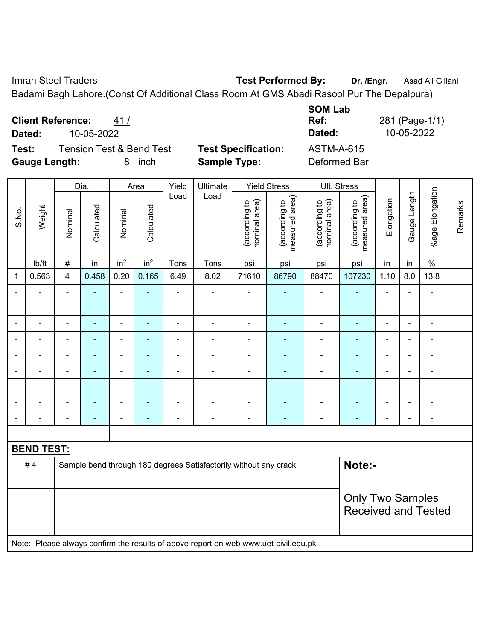Imran Steel Traders **Test Performed By:** Dr. /Engr. **Asad Ali Gillani** Collection Association Collection Association

Badami Bagh Lahore.(Const Of Additional Class Room At GMS Abadi Rasool Pur The Depalpura)

**Client Reference:** 41 /

**Dated:** 10-05-2022 **Dated:** 10-05-2022

 $\top$ 

**Test:** Tension Test & Bend Test **Test Specification:** ASTM-A-615 **Gauge Length:** 8 inch **Sample Type:** Deformed Bar

**SOM Lab Ref:** 281 (Page-1/1)

|                   |        |                          | Dia.           | Area                     |                 |                | Ultimate                                                         | <b>Yield Stress</b>            |                                 |                                | Ult. Stress                     |                |                |                              |         |
|-------------------|--------|--------------------------|----------------|--------------------------|-----------------|----------------|------------------------------------------------------------------|--------------------------------|---------------------------------|--------------------------------|---------------------------------|----------------|----------------|------------------------------|---------|
| S.No.             | Weight | Nominal                  | Calculated     | Nominal                  | Calculated      | Load           | Load                                                             | nominal area)<br>(according to | measured area)<br>(according to | nominal area)<br>(according to | measured area)<br>(according to | Elongation     | Gauge Length   | %age Elongation              | Remarks |
|                   | lb/ft  | $\#$                     | in             | in <sup>2</sup>          | in <sup>2</sup> | Tons           | Tons                                                             | psi                            | psi                             | psi                            | psi                             | in             | in             | $\%$                         |         |
| 1                 | 0.563  | 4                        | 0.458          | 0.20                     | 0.165           | 6.49           | 8.02                                                             | 71610                          | 86790                           | 88470                          | 107230                          | 1.10           | 8.0            | 13.8                         |         |
|                   |        | $\blacksquare$           |                | $\blacksquare$           | ۰               | $\blacksquare$ | $\overline{\phantom{a}}$                                         | $\blacksquare$                 |                                 | $\overline{\phantom{a}}$       |                                 | $\blacksquare$ |                | ÷                            |         |
|                   | ۰      | $\overline{\phantom{a}}$ | ٠              | $\overline{\phantom{a}}$ | ٠               | $\blacksquare$ | $\overline{\phantom{a}}$                                         | $\blacksquare$                 | $\blacksquare$                  | $\overline{\phantom{a}}$       | ÷                               | $\blacksquare$ | $\blacksquare$ | $\qquad \qquad \blacksquare$ |         |
|                   |        | $\blacksquare$           | ۰              | $\blacksquare$           | ۰               | $\blacksquare$ | $\blacksquare$                                                   |                                | ٠                               | $\overline{a}$                 | $\blacksquare$                  | $\blacksquare$ | $\blacksquare$ | $\blacksquare$               |         |
|                   |        |                          |                | -                        | ۳               |                |                                                                  | $\blacksquare$                 |                                 | $\blacksquare$                 |                                 | $\overline{a}$ |                | $\blacksquare$               |         |
|                   | -      | $\blacksquare$           | ۰              | ۰                        | ۰               | $\blacksquare$ | $\blacksquare$                                                   | $\blacksquare$                 | ٠                               | $\overline{a}$                 | $\blacksquare$                  |                | $\blacksquare$ | $\blacksquare$               |         |
|                   |        | $\overline{\phantom{a}}$ | $\blacksquare$ | $\overline{a}$           | ۰               |                |                                                                  |                                |                                 | $\overline{a}$                 |                                 | $\blacksquare$ | $\blacksquare$ | $\blacksquare$               |         |
|                   |        |                          |                | ÷                        | ۳               |                |                                                                  |                                |                                 | $\blacksquare$                 |                                 | L,             |                | $\blacksquare$               |         |
|                   |        | $\blacksquare$           | $\blacksquare$ | $\blacksquare$           | ۳               |                | $\blacksquare$                                                   |                                |                                 | ٠                              |                                 | $\overline{a}$ |                | $\blacksquare$               |         |
|                   |        | $\blacksquare$           | $\blacksquare$ | ۰                        | ۰               | $\blacksquare$ | $\overline{\phantom{a}}$                                         | $\blacksquare$                 | $\blacksquare$                  | ÷                              | $\blacksquare$                  | $\blacksquare$ | $\blacksquare$ | $\qquad \qquad \blacksquare$ |         |
|                   |        |                          |                |                          |                 |                |                                                                  |                                |                                 |                                |                                 |                |                |                              |         |
| <b>BEND TEST:</b> |        |                          |                |                          |                 |                |                                                                  |                                |                                 |                                |                                 |                |                |                              |         |
|                   | #4     |                          |                |                          |                 |                | Sample bend through 180 degrees Satisfactorily without any crack |                                |                                 |                                | Note:-                          |                |                |                              |         |
|                   |        |                          |                |                          |                 |                |                                                                  |                                |                                 |                                |                                 |                |                |                              |         |
|                   |        |                          |                |                          |                 |                |                                                                  |                                |                                 |                                | <b>Only Two Samples</b>         |                |                |                              |         |
|                   |        |                          |                |                          |                 |                |                                                                  |                                |                                 |                                | <b>Received and Tested</b>      |                |                |                              |         |
|                   |        |                          |                |                          |                 |                |                                                                  |                                |                                 |                                |                                 |                |                |                              |         |

Note: Please always confirm the results of above report on web www.uet-civil.edu.pk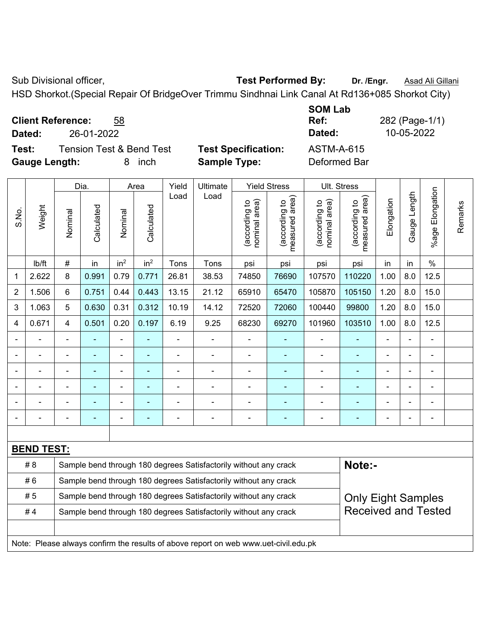Sub Divisional officer, **Test Performed By:** Dr. /Engr. **Asad Ali Gillani** Collection Association Association Association Association Association Association Association Association Association Association Association Asso

HSD Shorkot.(Special Repair Of BridgeOver Trimmu Sindhnai Link Canal At Rd136+085 Shorkot City)

| <b>Client Reference:</b><br>58 |
|--------------------------------|
|--------------------------------|

**Test:** Tension Test & Bend Test **Test Specification:** ASTM-A-615 **Gauge Length:** 8 inch **Sample Type:** Deformed Bar

**SOM Lab Ref:** 282 (Page-1/1) **Dated:** 26-01-2022 **Dated:** 10-05-2022

|                   |        |                | Dia.           |                          | Area            | Yield | Ultimate                                                         |                                | <b>Yield Stress</b>                | Ult. Stress                    |                                 |                |              |                              |         |
|-------------------|--------|----------------|----------------|--------------------------|-----------------|-------|------------------------------------------------------------------|--------------------------------|------------------------------------|--------------------------------|---------------------------------|----------------|--------------|------------------------------|---------|
| S.No.             | Weight | Nominal        | Calculated     | Nominal                  | Calculated      | Load  | Load                                                             | nominal area)<br>(according to | area)<br>(according to<br>measured | nominal area)<br>(according to | (according to<br>measured area) | Elongation     | Gauge Length | Elongation<br>$%$ age        | Remarks |
|                   | lb/ft  | #              | in             | in <sup>2</sup>          | in <sup>2</sup> | Tons  | Tons                                                             | psi                            | psi                                | psi                            | psi                             | in             | in           | $\%$                         |         |
| 1                 | 2.622  | 8              | 0.991          | 0.79                     | 0.771           | 26.81 | 38.53                                                            | 74850                          | 76690                              | 107570                         | 110220                          | 1.00           | 8.0          | 12.5                         |         |
| $\overline{2}$    | 1.506  | 6              | 0.751          | 0.44                     | 0.443           | 13.15 | 21.12                                                            | 65910                          | 65470                              | 105870                         | 105150                          | 1.20           | 8.0          | 15.0                         |         |
| 3                 | 1.063  | 5              | 0.630          | 0.31                     | 0.312           | 10.19 | 14.12                                                            | 72520                          | 72060                              | 100440                         | 99800                           | 1.20           | 8.0          | 15.0                         |         |
| 4                 | 0.671  | 4              | 0.501          | 0.20                     | 0.197           | 6.19  | 9.25                                                             | 68230                          | 69270                              | 101960                         | 103510                          | 1.00           | 8.0          | 12.5                         |         |
|                   |        | $\blacksquare$ |                | $\blacksquare$           |                 |       |                                                                  |                                |                                    | $\blacksquare$                 | $\blacksquare$                  |                |              | $\qquad \qquad \blacksquare$ |         |
|                   |        |                |                | $\blacksquare$           | $\overline{a}$  |       | $\blacksquare$                                                   |                                | ÷.                                 | $\blacksquare$                 | $\blacksquare$                  | $\blacksquare$ |              | $\overline{a}$               |         |
|                   |        | ä,             |                | Ē,                       | -               |       | ä,                                                               |                                |                                    | $\blacksquare$                 | ۰                               |                |              | $\blacksquare$               |         |
|                   |        | $\blacksquare$ | $\blacksquare$ | $\overline{\phantom{0}}$ |                 |       | ä,                                                               | $\blacksquare$                 |                                    | $\blacksquare$                 | $\overline{\phantom{a}}$        | $\blacksquare$ |              | $\overline{a}$               |         |
|                   |        | L,             |                | $\blacksquare$           | $\blacksquare$  |       | ä,                                                               |                                |                                    | $\blacksquare$                 | ۰                               | Ē,             |              | $\blacksquare$               |         |
|                   |        | L,             |                |                          |                 |       |                                                                  |                                |                                    | $\blacksquare$                 |                                 |                |              | $\blacksquare$               |         |
|                   |        |                |                |                          |                 |       |                                                                  |                                |                                    |                                |                                 |                |              |                              |         |
| <b>BEND TEST:</b> |        |                |                |                          |                 |       |                                                                  |                                |                                    |                                |                                 |                |              |                              |         |
|                   | #8     |                |                |                          |                 |       | Sample bend through 180 degrees Satisfactorily without any crack |                                |                                    |                                | Note:-                          |                |              |                              |         |
|                   | #6     |                |                |                          |                 |       | Sample bend through 180 degrees Satisfactorily without any crack |                                |                                    |                                | <b>Only Eight Samples</b>       |                |              |                              |         |
|                   | #5     |                |                |                          |                 |       | Sample bend through 180 degrees Satisfactorily without any crack |                                |                                    |                                |                                 |                |              |                              |         |
|                   | #4     |                |                |                          |                 |       | Sample bend through 180 degrees Satisfactorily without any crack |                                |                                    | <b>Received and Tested</b>     |                                 |                |              |                              |         |
|                   |        |                |                |                          |                 |       |                                                                  |                                |                                    |                                |                                 |                |              |                              |         |

Note: Please always confirm the results of above report on web www.uet-civil.edu.pk